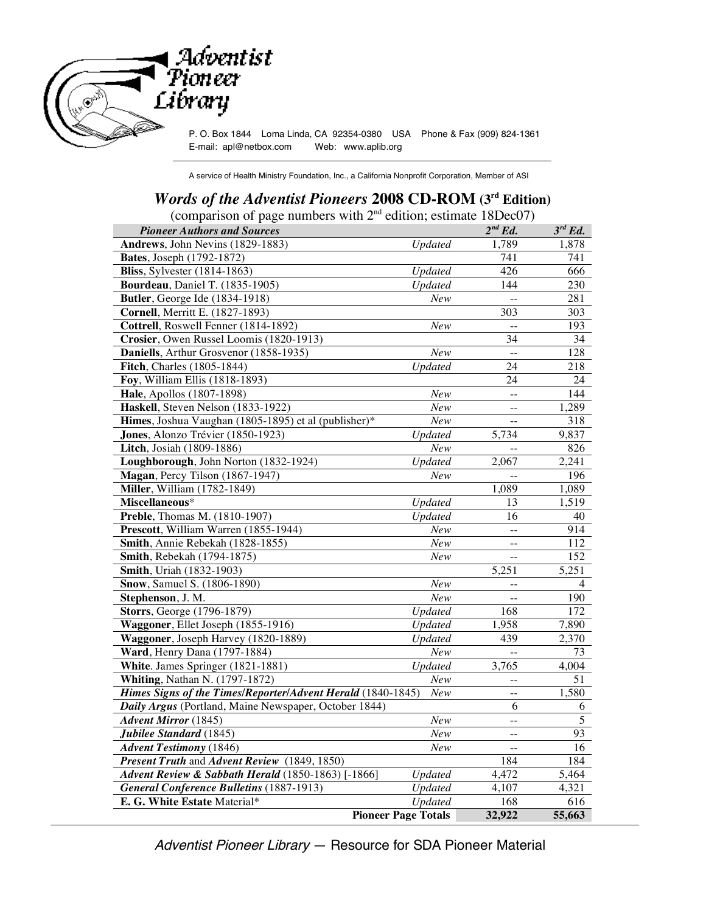

A service of Health Ministry Foundation, Inc., a California Nonprofit Corporation, Member of ASI

## *Words of the Adventist Pioneers* **2008 CD-ROM (3rd Edition)**

(comparison of page numbers with  $2<sup>nd</sup>$  edition; estimate 18Dec07)

| <b>Pioneer Authors and Sources</b>                          |                            | $2^{nd}$ Ed.             | $3^{rd}$ Ed.   |
|-------------------------------------------------------------|----------------------------|--------------------------|----------------|
| Andrews, John Nevins (1829-1883)                            | <b>Updated</b>             | 1,789                    | 1,878          |
| <b>Bates</b> , Joseph (1792-1872)                           |                            | 741                      | 741            |
| <b>Bliss</b> , Sylvester (1814-1863)                        | Updated                    | 426                      | 666            |
| <b>Bourdeau</b> , Daniel T. (1835-1905)                     | Updated                    | 144                      | 230            |
| Butler, George Ide (1834-1918)                              | New                        |                          | 281            |
| <b>Cornell</b> , Merritt E. (1827-1893)                     |                            | 303                      | 303            |
| Cottrell, Roswell Fenner (1814-1892)                        | New                        | $-$                      | 193            |
| Crosier, Owen Russel Loomis (1820-1913)                     |                            | 34                       | 34             |
| Daniells, Arthur Grosvenor (1858-1935)                      | New                        | $\overline{\phantom{a}}$ | 128            |
| Fitch, Charles (1805-1844)                                  | <b>Updated</b>             | 24                       | 218            |
| Foy, William Ellis (1818-1893)                              |                            | 24                       | 24             |
| Hale, Apollos (1807-1898)                                   | New                        | $\overline{a}$           | 144            |
| Haskell, Steven Nelson (1833-1922)                          | New                        | $\overline{a}$           | 1,289          |
| Himes, Joshua Vaughan (1805-1895) et al (publisher)*        | New                        |                          | 318            |
| Jones, Alonzo Trévier (1850-1923)                           | <b>Updated</b>             | 5,734                    | 9,837          |
| Litch, Josiah (1809-1886)                                   | New                        |                          | 826            |
| Loughborough, John Norton (1832-1924)                       | Updated                    | 2,067                    | 2,241          |
| Magan, Percy Tilson (1867-1947)                             | New                        |                          | 196            |
| <b>Miller</b> , William (1782-1849)                         |                            | 1,089                    | 1,089          |
| Miscellaneous*                                              | Updated                    | 13                       | 1,519          |
| Preble, Thomas M. (1810-1907)                               | Updated                    | 16                       | 40             |
| Prescott, William Warren (1855-1944)                        | New                        | $\overline{a}$           | 914            |
| Smith, Annie Rebekah (1828-1855)                            | New                        | $\overline{a}$           | 112            |
| Smith, Rebekah (1794-1875)                                  | New                        | $-$                      | 152            |
| <b>Smith</b> , Uriah (1832-1903)                            |                            | 5,251                    | 5,251          |
| Snow, Samuel S. (1806-1890)                                 | New                        | $\overline{a}$           | $\overline{4}$ |
| Stephenson, J. M.                                           | New                        |                          | 190            |
| <b>Storrs</b> , George (1796-1879)                          | Updated                    | 168                      | 172            |
| Waggoner, Ellet Joseph (1855-1916)                          | Updated                    | 1,958                    | 7,890          |
| Waggoner, Joseph Harvey (1820-1889)                         | Updated                    | 439                      | 2,370          |
| Ward, Henry Dana (1797-1884)                                | New                        |                          | 73             |
| White. James Springer (1821-1881)                           | Updated                    | 3,765                    | 4,004          |
| <b>Whiting, Nathan N. (1797-1872)</b>                       | New                        | $-$                      | 51             |
| Himes Signs of the Times/Reporter/Advent Herald (1840-1845) | New                        | $-$                      | 1,580          |
| Daily Argus (Portland, Maine Newspaper, October 1844)       |                            | 6                        | 6              |
| <b>Advent Mirror</b> (1845)                                 | New                        | $-$                      | 5              |
| Jubilee Standard (1845)                                     | New                        | $\overline{a}$           | 93             |
| <b>Advent Testimony</b> (1846)                              | New                        | $\overline{a}$           | 16             |
| Present Truth and Advent Review (1849, 1850)                |                            | 184                      | 184            |
| Advent Review & Sabbath Herald (1850-1863) [-1866]          | Updated                    | 4,472                    | 5,464          |
| <b>General Conference Bulletins (1887-1913)</b>             | <b>Updated</b>             | 4,107                    | 4,321          |
| E. G. White Estate Material*                                | Updated                    | 168                      | 616            |
|                                                             | <b>Pioneer Page Totals</b> | 32,922                   | 55,663         |

Adventist Pioneer Library — Resource for SDA Pioneer Material